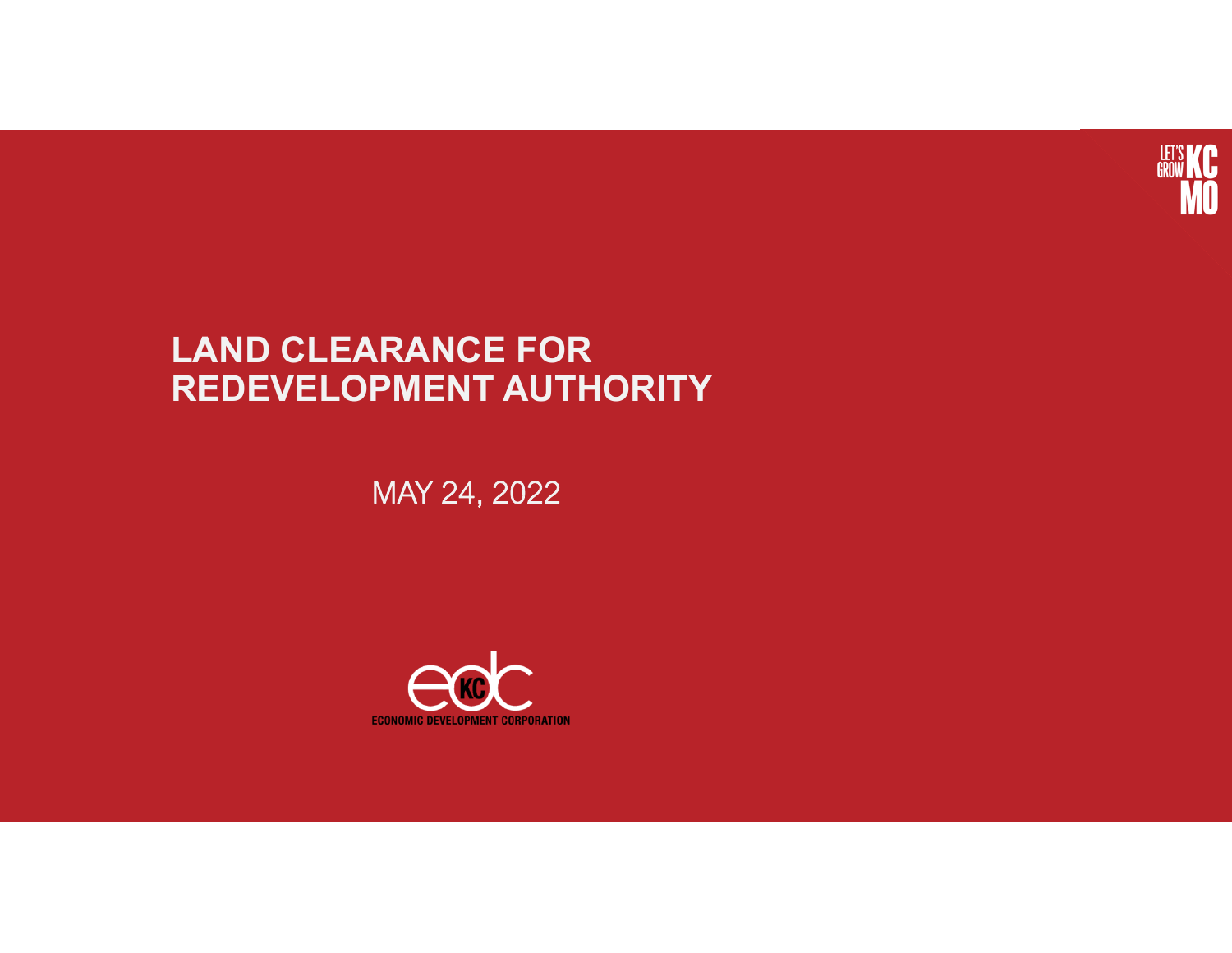

### **LAND CLEARANCE FOR REDEVELOPMENT AUTHORITY**

MAY 24, 2022

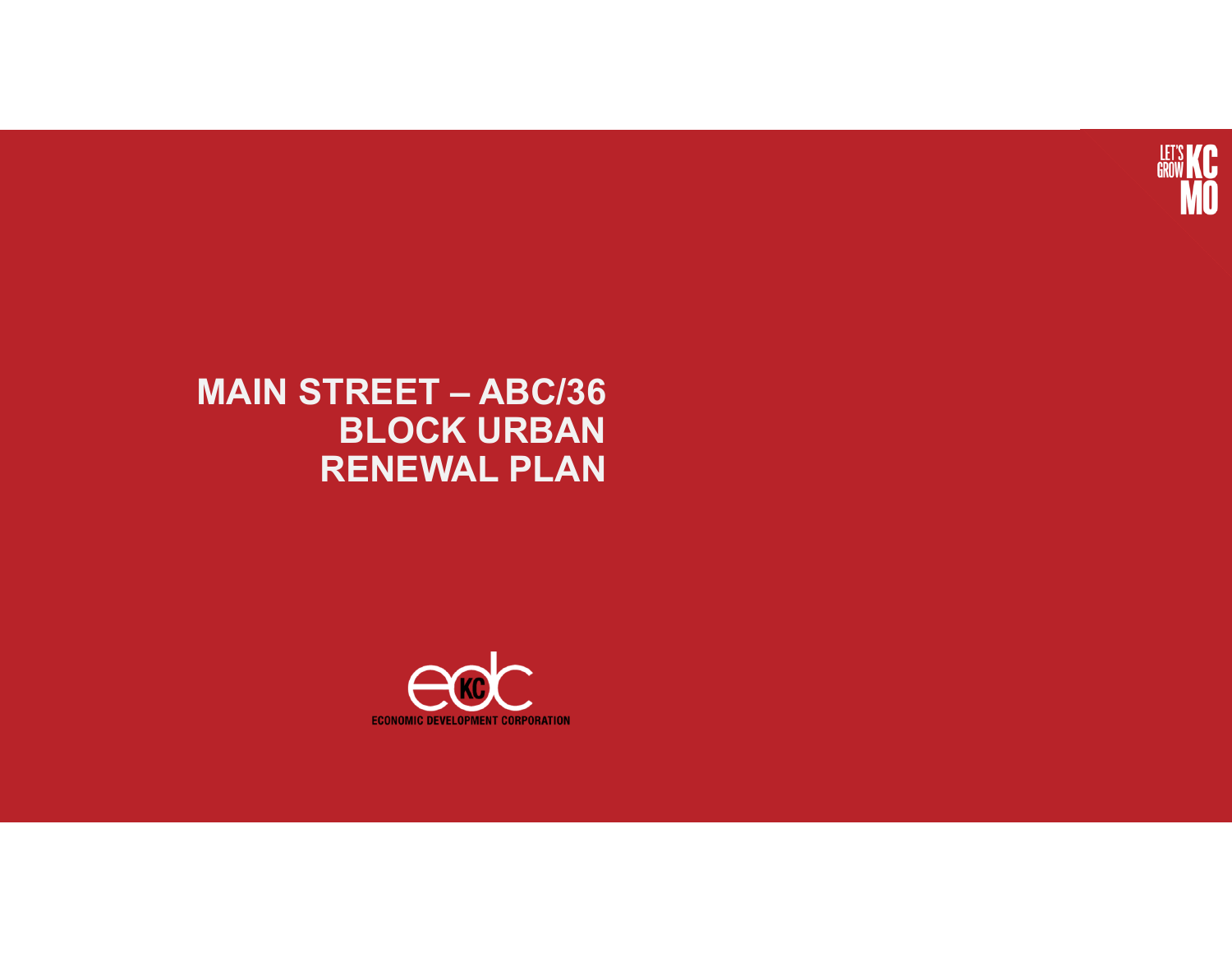

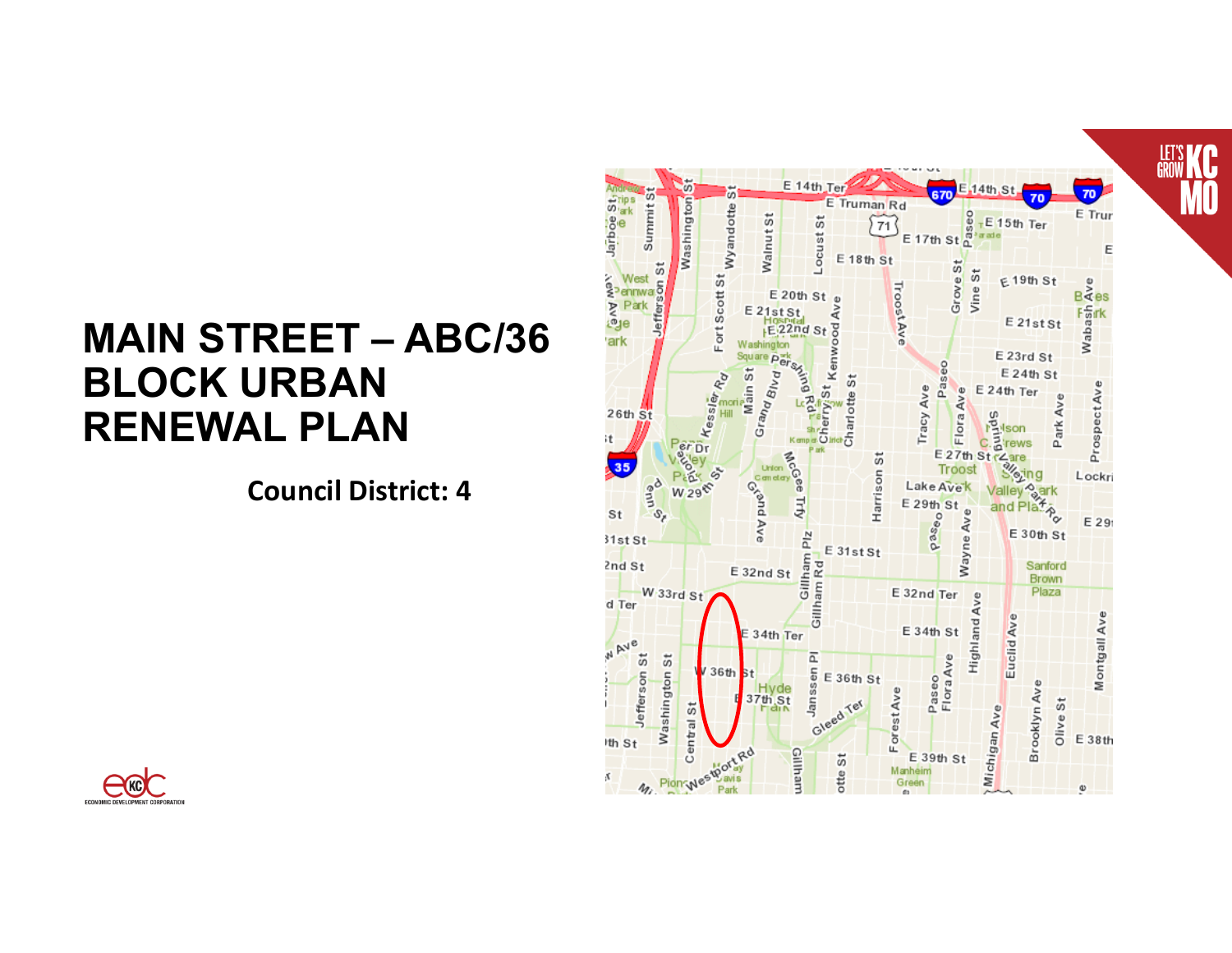**Council District: 4**



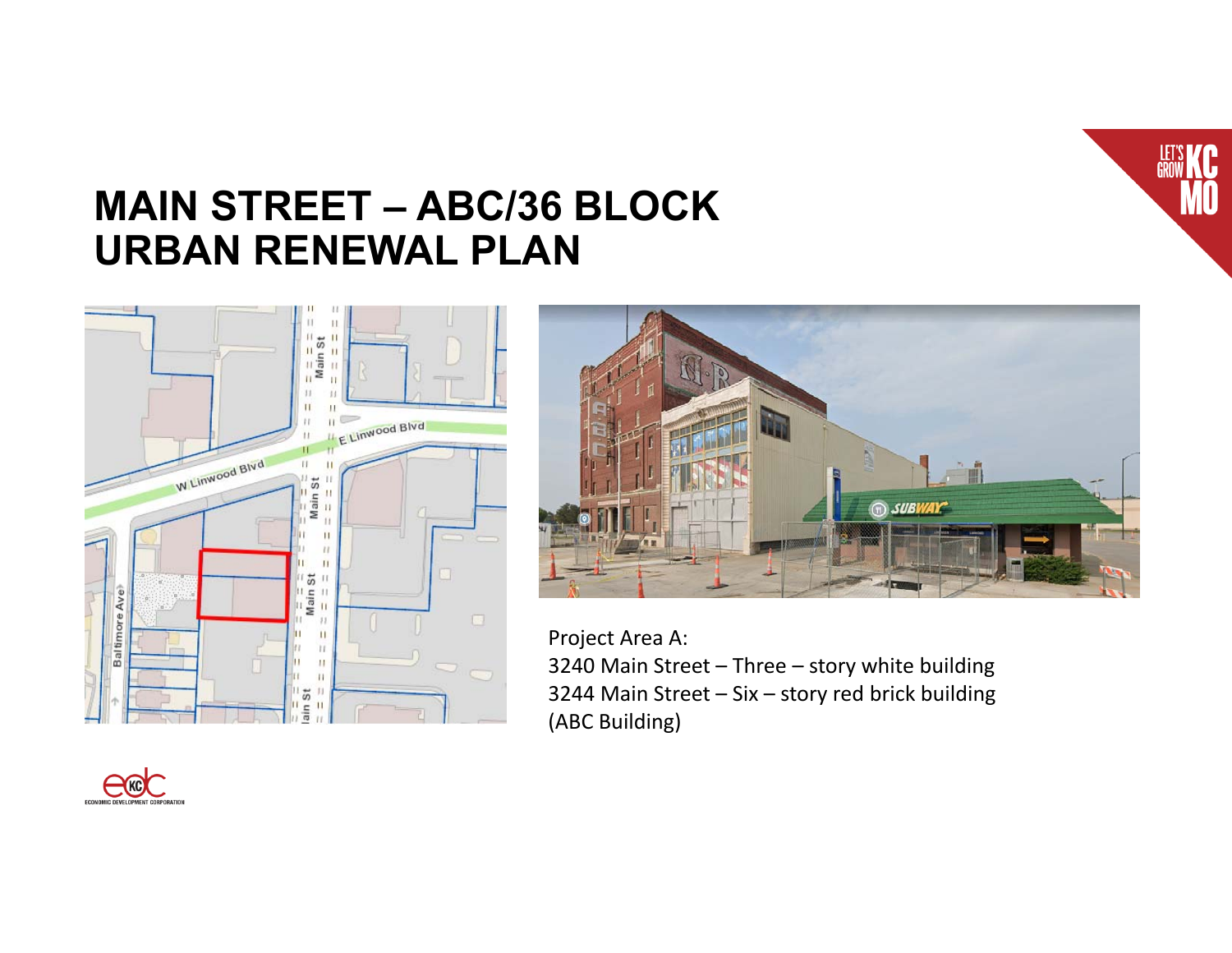





Project Area A:

3240 Main Street – Three – story white building 3244 Main Street – Six – story red brick building (ABC Building)

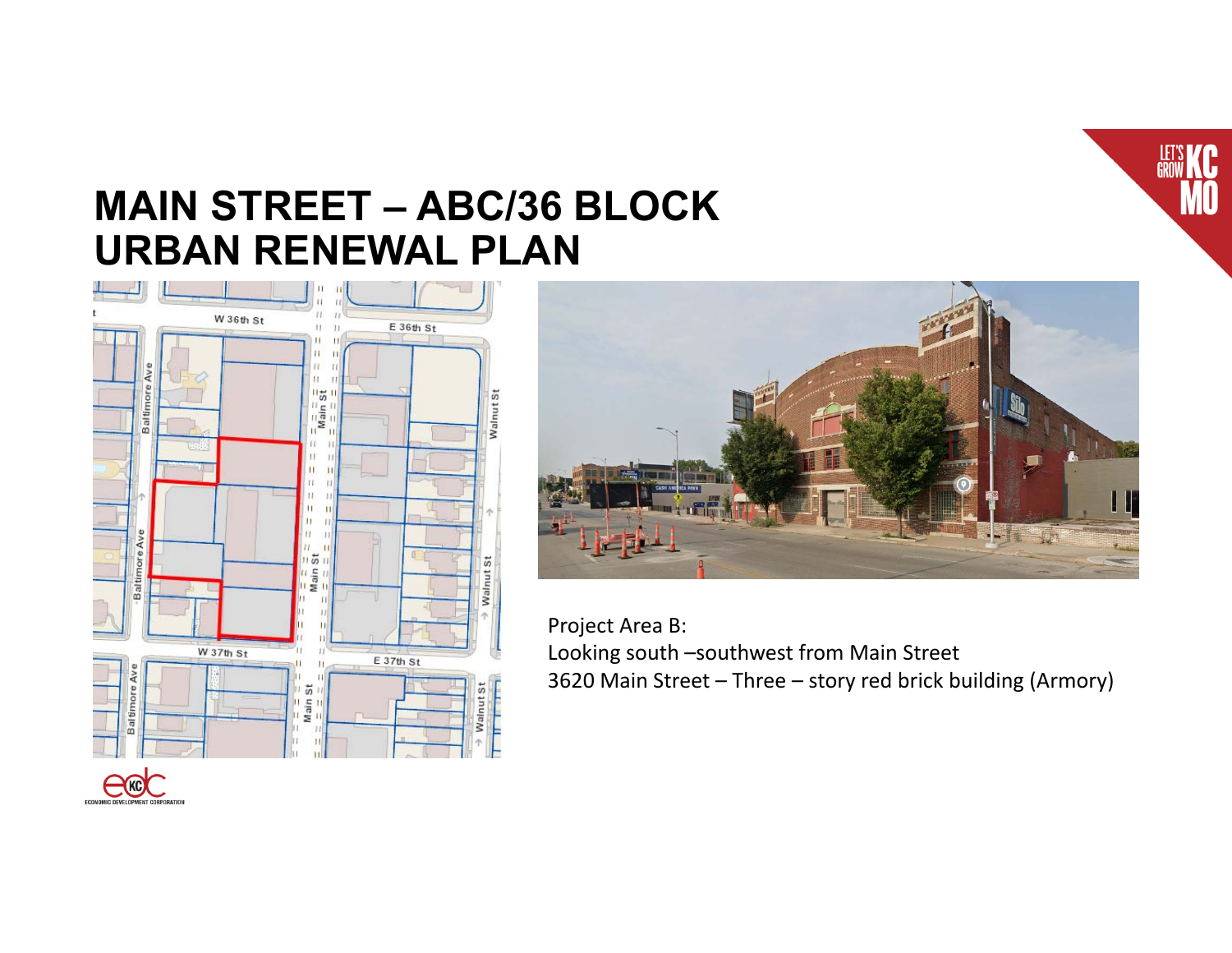





Project Area B: Looking south –southwest from Main Street 3620 Main Street – Three – story red brick building (Armory)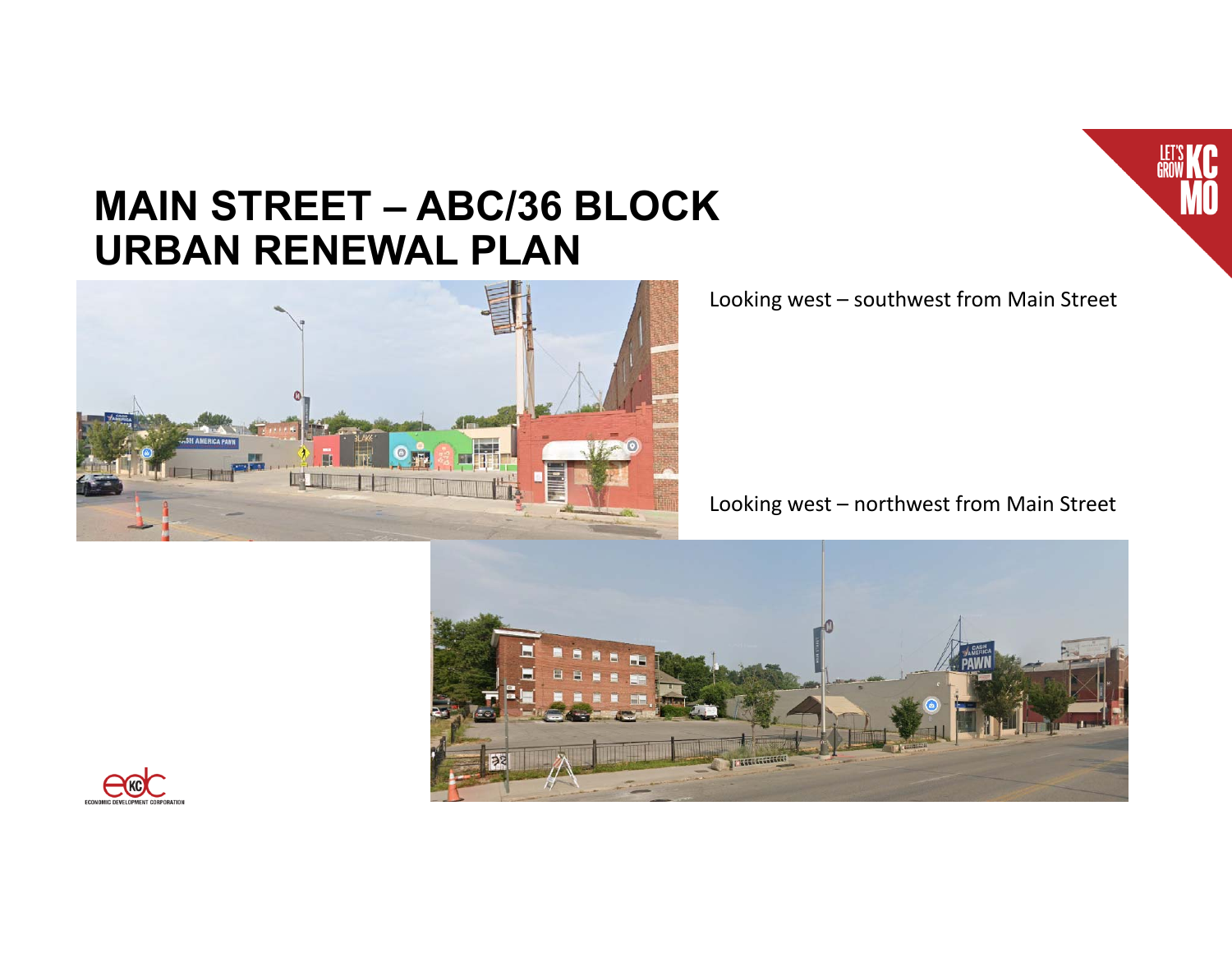

Looking west – southwest from Main Street

Looking west – northwest from Main Street



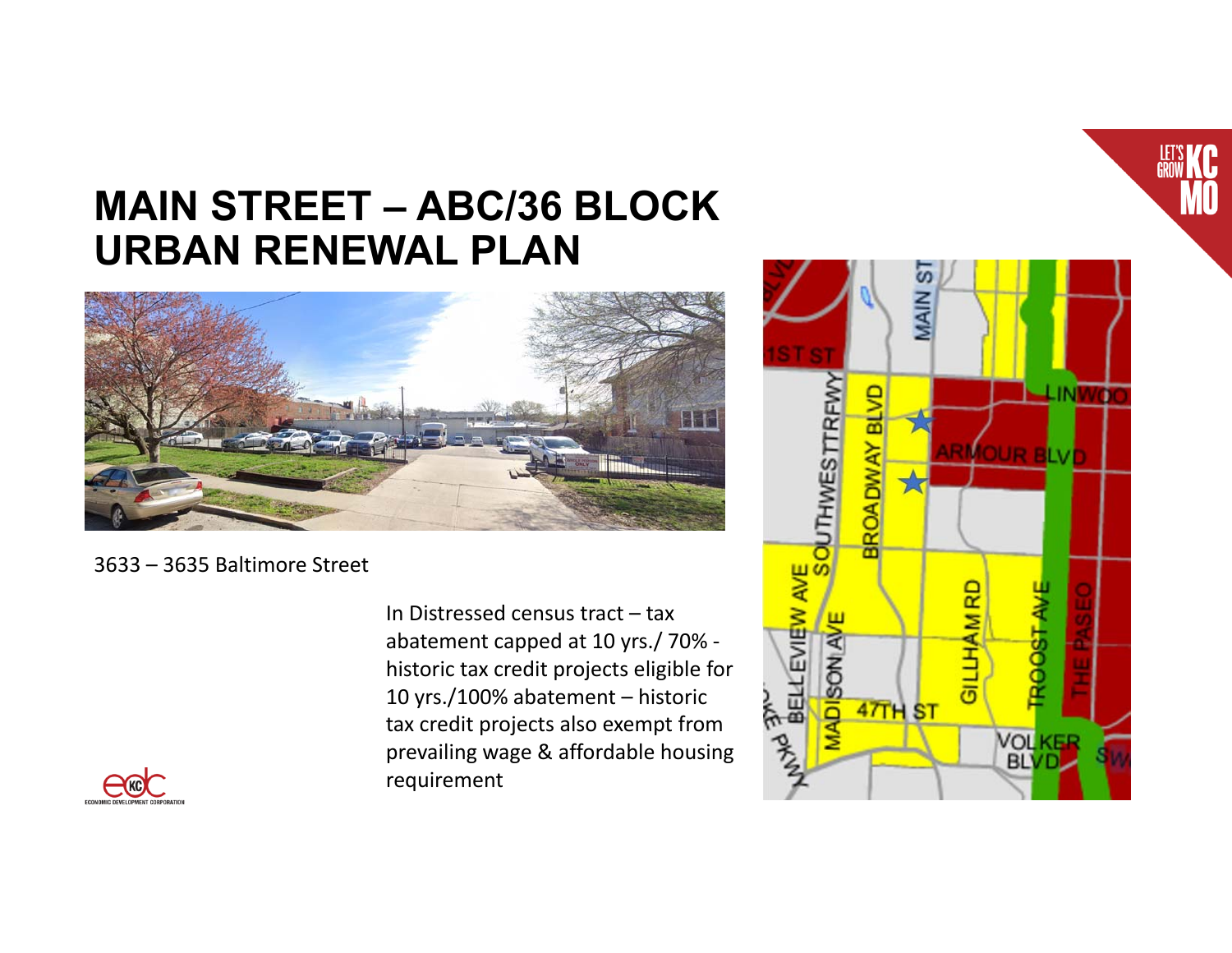

3633 – 3635 Baltimore Street

In Distressed census tract – tax abatement capped at 10 yrs./ 70% historic tax credit projects eligible for 10 yrs./100% abatement – historic tax credit projects also exempt from prevailing wage & affordable housing requirement



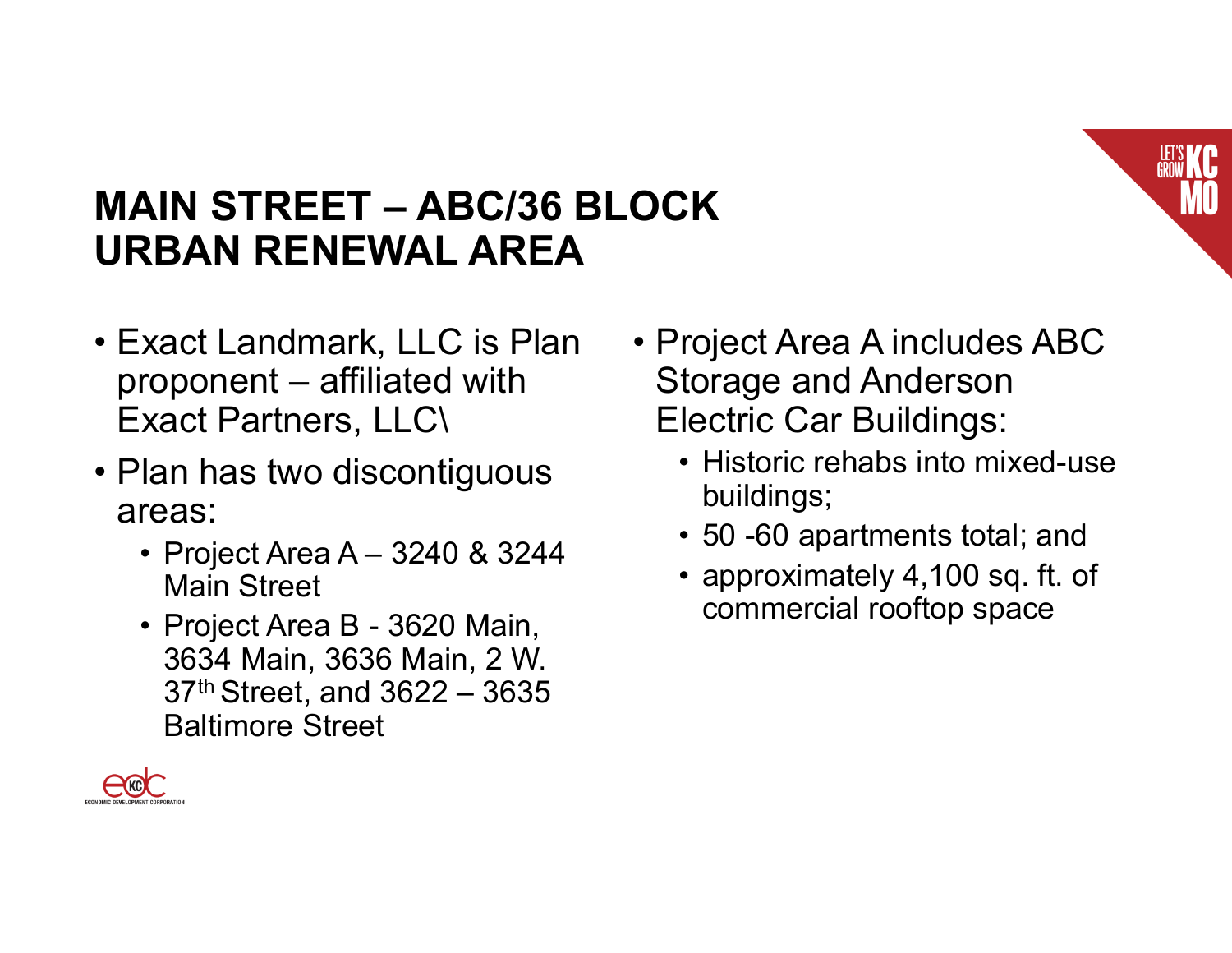

- Exact Landmark, LLC is Plan proponent – affiliated with Exact Partners, LLC\
- Plan has two discontiguous areas:
	- Project Area A 3240 & 3244 Main Street
	- Project Area B 3620 Main, 3634 Main, 3636 Main, 2 W. 37th Street, and 3622 – 3635 Baltimore Street
- Project Area A includes ABC Storage and Anderson Electric Car Buildings:
	- Historic rehabs into mixed-use buildings;
	- 50 -60 apartments total; and
	- approximately 4,100 sq. ft. of commercial rooftop space

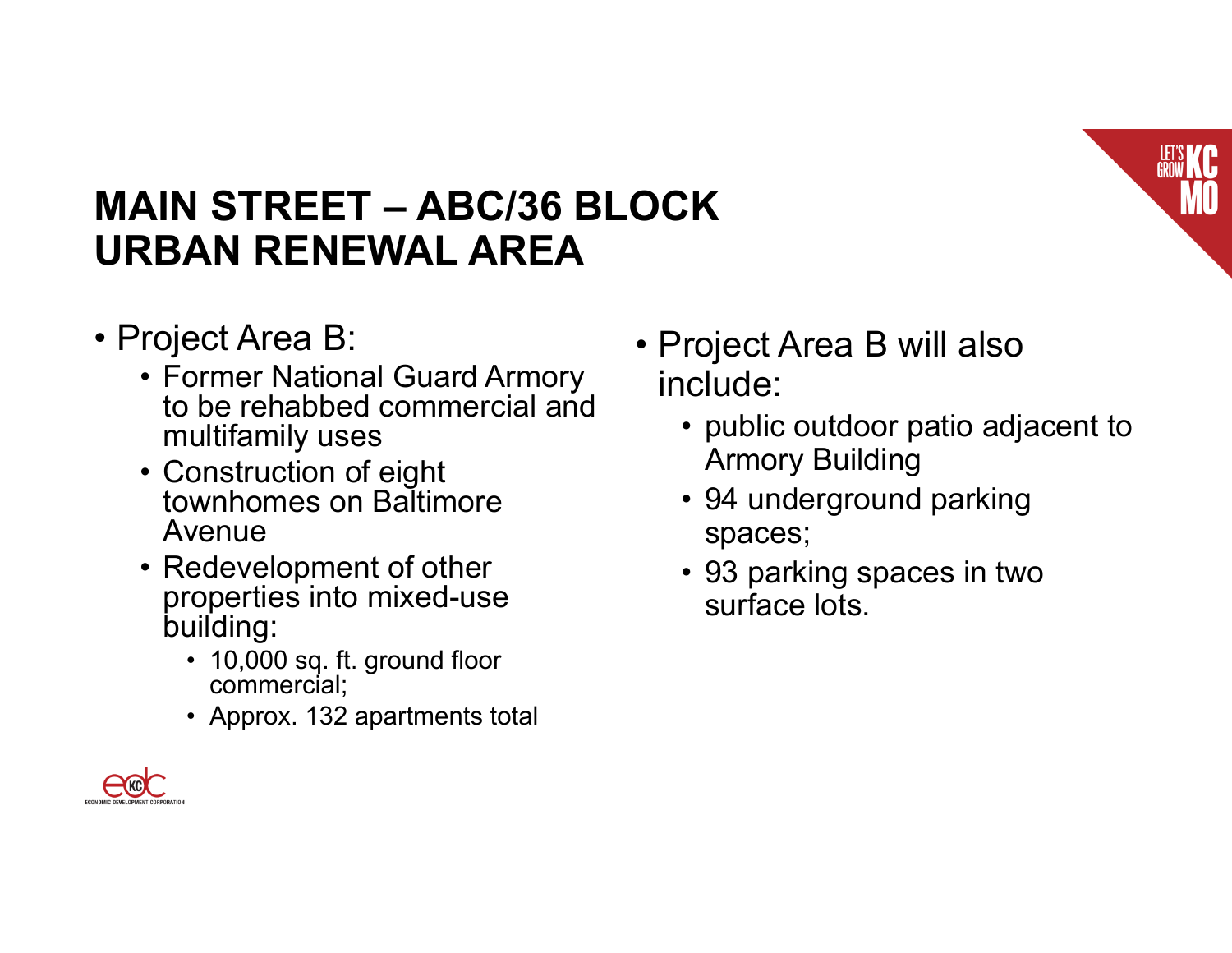

- Project Area B:
	- Former National Guard Armory to be rehabbed commercial and multifamily uses
	- Construction of eight townhomes on Baltimore Avenue
	- Redevelopment of other properties into mixed-use building:
		- 10,000 sq. ft. ground floor commercial;
		- Approx. 132 apartments total
- Project Area B will also include:
	- public outdoor patio adjacent to Armory Building
	- 94 underground parking spaces;
	- 93 parking spaces in two surface lots.